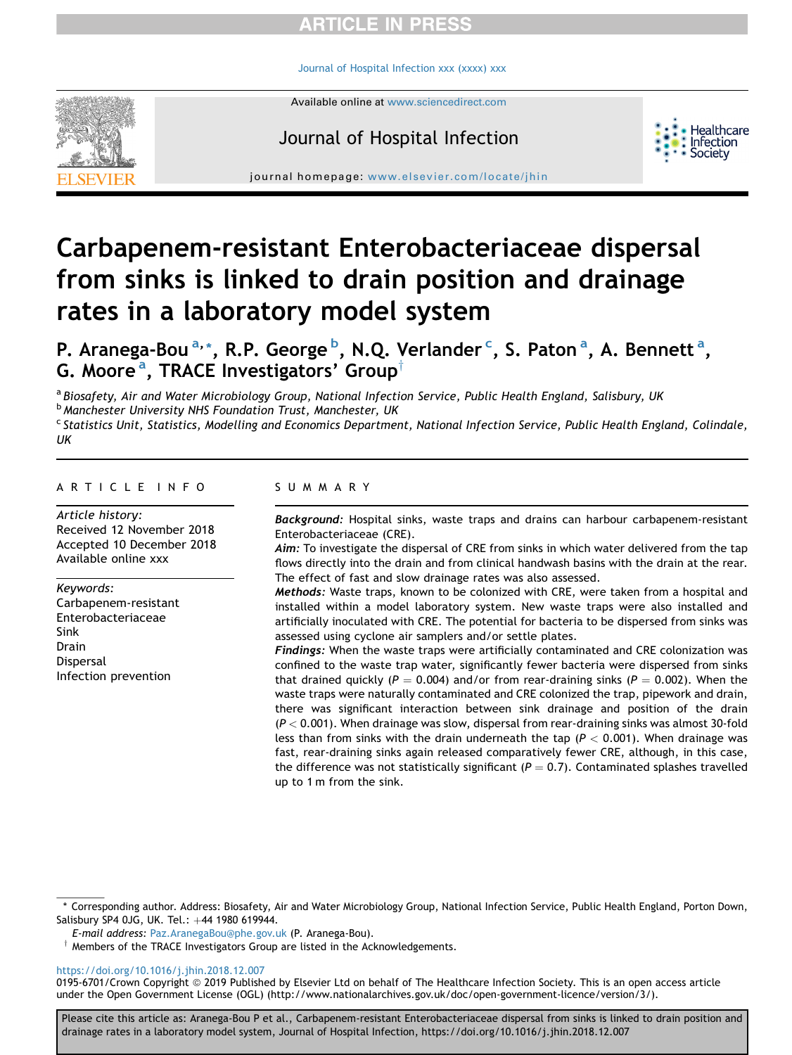# **ARTICLE IN PRESS**

[Journal of Hospital Infection xxx \(xxxx\) xxx](https://doi.org/10.1016/j.jhin.2018.12.007)

Available online at [www.sciencedirect.com](www.sciencedirect.com/science/journal/01956701)

# Journal of Hospital Infection



journal homepage: [www.elsevier.com/locate/jhin](http://www.elsevier.com/locate/jhin)

# Carbapenem-resistant Enterobacteriaceae dispersal from sinks is linked to drain position and drainage rates in a laboratory model system

P. Aranega-Bou <sup>a, \*</sup>, R.P. George <sup>b</sup>, N.Q. Verlander <sup>c</sup>, S. Paton <sup>a</sup>, A. Bennett <sup>a</sup>, G. Moore<sup>a</sup>, TRACE Investigators' Group<sup>†</sup>

a Biosafety, Air and Water Microbiology Group, National Infection Service, Public Health England, Salisbury, UK **b Manchester University NHS Foundation Trust, Manchester, UK** <sup>c</sup> Statistics Unit, Statistics, Modelling and Economics Department, National Infection Service, Public Health England, Colindale, UK

#### ARTICLE INFO

Article history: Received 12 November 2018 Accepted 10 December 2018 Available online xxx

Keywords: Carbapenem-resistant Enterobacteriaceae Sink Drain Dispersal Infection prevention

#### SUMMARY

Background: Hospital sinks, waste traps and drains can harbour carbapenem-resistant Enterobacteriaceae (CRE).

Aim: To investigate the dispersal of CRE from sinks in which water delivered from the tap flows directly into the drain and from clinical handwash basins with the drain at the rear. The effect of fast and slow drainage rates was also assessed.

Methods: Waste traps, known to be colonized with CRE, were taken from a hospital and installed within a model laboratory system. New waste traps were also installed and artificially inoculated with CRE. The potential for bacteria to be dispersed from sinks was assessed using cyclone air samplers and/or settle plates.

Findings: When the waste traps were artificially contaminated and CRE colonization was confined to the waste trap water, significantly fewer bacteria were dispersed from sinks that drained quickly ( $P = 0.004$ ) and/or from rear-draining sinks ( $P = 0.002$ ). When the waste traps were naturally contaminated and CRE colonized the trap, pipework and drain, there was significant interaction between sink drainage and position of the drain  $(P < 0.001)$ . When drainage was slow, dispersal from rear-draining sinks was almost 30-fold less than from sinks with the drain underneath the tap ( $P < 0.001$ ). When drainage was fast, rear-draining sinks again released comparatively fewer CRE, although, in this case, the difference was not statistically significant ( $P = 0.7$ ). Contaminated splashes travelled up to 1 m from the sink.

E-mail address: [Paz.AranegaBou@phe.gov.uk](mailto:Paz.AranegaBou@phe.gov.uk) (P. Aranega-Bou).

 $\dagger$  Members of the TRACE Investigators Group are listed in the Acknowledgements.

<https://doi.org/10.1016/j.jhin.2018.12.007>

0195-6701/Crown Copyright @ 2019 Published by Elsevier Ltd on behalf of The Healthcare Infection Society. This is an open access article under the Open Government License (OGL) (http://www.nationalarchives.gov.uk/doc/open-government-licence/version/3/).

<sup>\*</sup> Corresponding author. Address: Biosafety, Air and Water Microbiology Group, National Infection Service, Public Health England, Porton Down, Salisbury SP4 0JG, UK. Tel.: +44 1980 619944.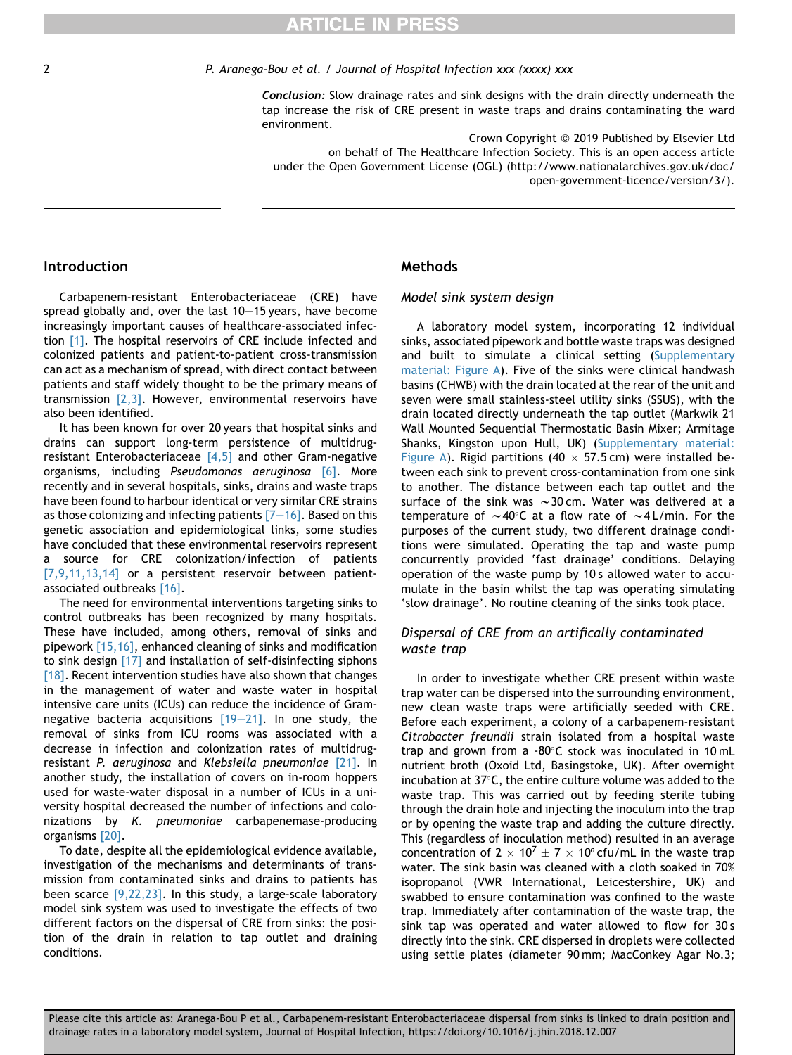# **ARTICLE IN PRESS**

#### 2 P. Aranega-Bou et al. / Journal of Hospital Infection xxx (xxxx) xxx

Conclusion: Slow drainage rates and sink designs with the drain directly underneath the tap increase the risk of CRE present in waste traps and drains contaminating the ward environment.

Crown Copyright © 2019 Published by Elsevier Ltd on behalf of The Healthcare Infection Society. This is an open access article under the Open Government License (OGL) (http://www.nationalarchives.gov.uk/doc/ open-government-licence/version/3/).

## Introduction

Carbapenem-resistant Enterobacteriaceae (CRE) have spread globally and, over the last  $10-15$  years, have become increasingly important causes of healthcare-associated infection [\[1\]](#page-5-0). The hospital reservoirs of CRE include infected and colonized patients and patient-to-patient cross-transmission can act as a mechanism of spread, with direct contact between patients and staff widely thought to be the primary means of transmission  $[2,3]$ . However, environmental reservoirs have also been identified.

It has been known for over 20 years that hospital sinks and drains can support long-term persistence of multidrugresistant Enterobacteriaceae  $[4,5]$  and other Gram-negative organisms, including Pseudomonas aeruginosa [\[6\]](#page-5-0). More recently and in several hospitals, sinks, drains and waste traps have been found to harbour identical or very similar CRE strains as those colonizing and infecting patients  $[7-16]$  $[7-16]$ . Based on this genetic association and epidemiological links, some studies have concluded that these environmental reservoirs represent a source for CRE colonization/infection of patients [\[7,9,11,13,14\]](#page-5-0) or a persistent reservoir between patientassociated outbreaks [\[16\]](#page-6-0).

The need for environmental interventions targeting sinks to control outbreaks has been recognized by many hospitals. These have included, among others, removal of sinks and pipework [\[15,16\],](#page-6-0) enhanced cleaning of sinks and modification to sink design [\[17\]](#page-6-0) and installation of self-disinfecting siphons [\[18\].](#page-6-0) Recent intervention studies have also shown that changes in the management of water and waste water in hospital intensive care units (ICUs) can reduce the incidence of Gramnegative bacteria acquisitions  $[19-21]$  $[19-21]$ . In one study, the removal of sinks from ICU rooms was associated with a decrease in infection and colonization rates of multidrug-resistant P. aeruginosa and Klebsiella pneumoniae [\[21\]](#page-6-0). In another study, the installation of covers on in-room hoppers used for waste-water disposal in a number of ICUs in a university hospital decreased the number of infections and colonizations by K. pneumoniae carbapenemase-producing organisms [\[20\]](#page-6-0).

To date, despite all the epidemiological evidence available, investigation of the mechanisms and determinants of transmission from contaminated sinks and drains to patients has been scarce  $[9,22,23]$ . In this study, a large-scale laboratory model sink system was used to investigate the effects of two different factors on the dispersal of CRE from sinks: the position of the drain in relation to tap outlet and draining conditions.

## Methods

## Model sink system design

A laboratory model system, incorporating 12 individual sinks, associated pipework and bottle waste traps was designed and built to simulate a clinical setting (Supplementary material: Figure A). Five of the sinks were clinical handwash basins (CHWB) with the drain located at the rear of the unit and seven were small stainless-steel utility sinks (SSUS), with the drain located directly underneath the tap outlet (Markwik 21 Wall Mounted Sequential Thermostatic Basin Mixer; Armitage Shanks, Kingston upon Hull, UK) (Supplementary material: Figure A). Rigid partitions (40  $\times$  57.5 cm) were installed between each sink to prevent cross-contamination from one sink to another. The distance between each tap outlet and the surface of the sink was  $\sim$  30 cm. Water was delivered at a temperature of  $\sim$ 40°C at a flow rate of  $\sim$ 4 L/min. For the purposes of the current study, two different drainage conditions were simulated. Operating the tap and waste pump concurrently provided 'fast drainage' conditions. Delaying operation of the waste pump by 10 s allowed water to accumulate in the basin whilst the tap was operating simulating 'slow drainage'. No routine cleaning of the sinks took place.

## Dispersal of CRE from an artifically contaminated waste trap

In order to investigate whether CRE present within waste trap water can be dispersed into the surrounding environment, new clean waste traps were artificially seeded with CRE. Before each experiment, a colony of a carbapenem-resistant Citrobacter freundii strain isolated from a hospital waste trap and grown from a  $-80^{\circ}$ C stock was inoculated in 10 mL nutrient broth (Oxoid Ltd, Basingstoke, UK). After overnight incubation at  $37^{\circ}$ C, the entire culture volume was added to the waste trap. This was carried out by feeding sterile tubing through the drain hole and injecting the inoculum into the trap or by opening the waste trap and adding the culture directly. This (regardless of inoculation method) resulted in an average concentration of  $2 \times 10^7 \pm 7 \times 10^6$  cfu/mL in the waste trap water. The sink basin was cleaned with a cloth soaked in 70% isopropanol (VWR International, Leicestershire, UK) and swabbed to ensure contamination was confined to the waste trap. Immediately after contamination of the waste trap, the sink tap was operated and water allowed to flow for 30 s directly into the sink. CRE dispersed in droplets were collected using settle plates (diameter 90 mm; MacConkey Agar No.3;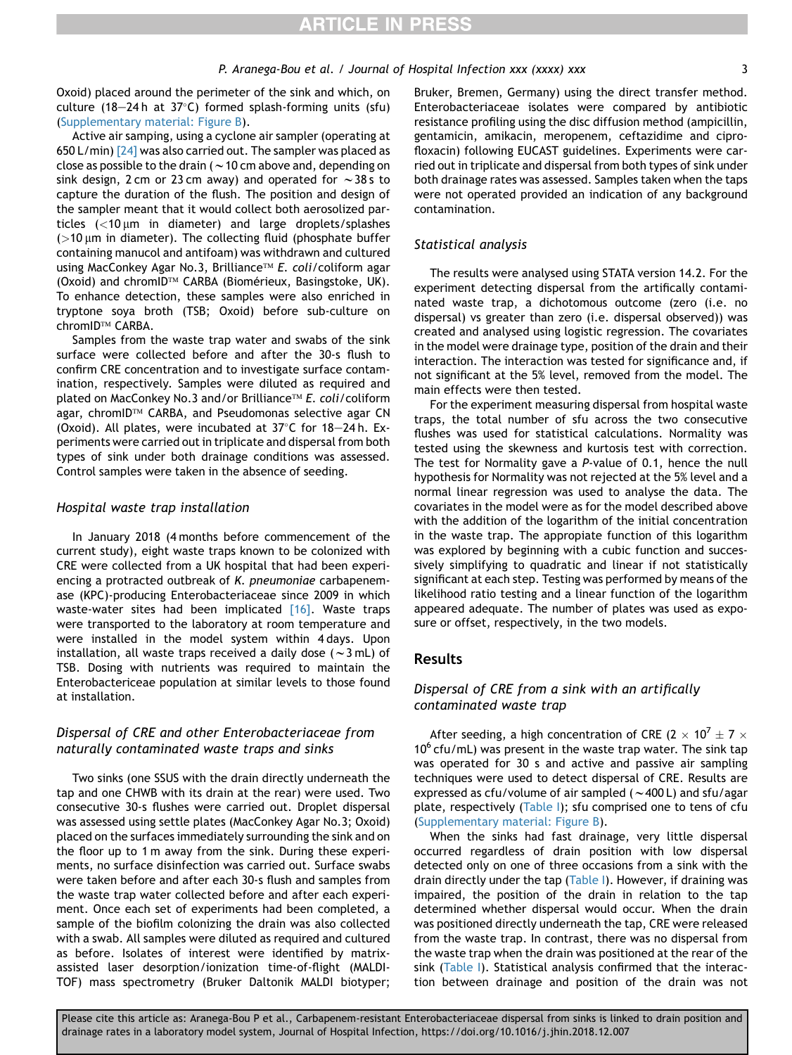# **ARTICLE IN PRESS**

Oxoid) placed around the perimeter of the sink and which, on culture (18-24h at 37°C) formed splash-forming units (sfu) (Supplementary material: Figure B).

Active air samping, using a cyclone air sampler (operating at 650 L/min) [\[24\]](#page-6-0) was also carried out. The sampler was placed as close as possible to the drain ( $\sim$  10 cm above and, depending on sink design, 2 cm or 23 cm away) and operated for  $\sim$  38 s to capture the duration of the flush. The position and design of the sampler meant that it would collect both aerosolized particles  $\left($  <10  $\mu$ m in diameter) and large droplets/splashes  $(>10 \mu m)$  in diameter). The collecting fluid (phosphate buffer containing manucol and antifoam) was withdrawn and cultured using MacConkey Agar No.3, Brilliance™ *E. coli*/coliform agar  $(Oxoid)$  and chromID<sup>TM</sup> CARBA (Biomérieux, Basingstoke, UK). To enhance detection, these samples were also enriched in tryptone soya broth (TSB; Oxoid) before sub-culture on chromID™ CARBA.

Samples from the waste trap water and swabs of the sink surface were collected before and after the 30-s flush to confirm CRE concentration and to investigate surface contamination, respectively. Samples were diluted as required and plated on MacConkey No.3 and∕or Brilliance™ *E. coli*/coliform agar, chromID™ CARBA, and Pseudomonas selective agar CN (Oxoid). All plates, were incubated at  $37^{\circ}$ C for  $18-24$  h. Experiments were carried out in triplicate and dispersal from both types of sink under both drainage conditions was assessed. Control samples were taken in the absence of seeding.

#### Hospital waste trap installation

In January 2018 (4 months before commencement of the current study), eight waste traps known to be colonized with CRE were collected from a UK hospital that had been experiencing a protracted outbreak of K. pneumoniae carbapenemase (KPC)-producing Enterobacteriaceae since 2009 in which waste-water sites had been implicated [\[16\].](#page-6-0) Waste traps were transported to the laboratory at room temperature and were installed in the model system within 4 days. Upon installation, all waste traps received a daily dose ( $\sim$ 3 mL) of TSB. Dosing with nutrients was required to maintain the Enterobactericeae population at similar levels to those found at installation.

# Dispersal of CRE and other Enterobacteriaceae from naturally contaminated waste traps and sinks

Two sinks (one SSUS with the drain directly underneath the tap and one CHWB with its drain at the rear) were used. Two consecutive 30-s flushes were carried out. Droplet dispersal was assessed using settle plates (MacConkey Agar No.3; Oxoid) placed on the surfaces immediately surrounding the sink and on the floor up to 1 m away from the sink. During these experiments, no surface disinfection was carried out. Surface swabs were taken before and after each 30-s flush and samples from the waste trap water collected before and after each experiment. Once each set of experiments had been completed, a sample of the biofilm colonizing the drain was also collected with a swab. All samples were diluted as required and cultured as before. Isolates of interest were identified by matrixassisted laser desorption/ionization time-of-flight (MALDI-TOF) mass spectrometry (Bruker Daltonik MALDI biotyper;

Bruker, Bremen, Germany) using the direct transfer method. Enterobacteriaceae isolates were compared by antibiotic resistance profiling using the disc diffusion method (ampicillin, gentamicin, amikacin, meropenem, ceftazidime and ciprofloxacin) following EUCAST guidelines. Experiments were carried out in triplicate and dispersal from both types of sink under both drainage rates was assessed. Samples taken when the taps were not operated provided an indication of any background contamination.

#### Statistical analysis

The results were analysed using STATA version 14.2. For the experiment detecting dispersal from the artifically contaminated waste trap, a dichotomous outcome (zero (i.e. no dispersal) vs greater than zero (i.e. dispersal observed)) was created and analysed using logistic regression. The covariates in the model were drainage type, position of the drain and their interaction. The interaction was tested for significance and, if not significant at the 5% level, removed from the model. The main effects were then tested.

For the experiment measuring dispersal from hospital waste traps, the total number of sfu across the two consecutive flushes was used for statistical calculations. Normality was tested using the skewness and kurtosis test with correction. The test for Normality gave a P-value of 0.1, hence the null hypothesis for Normality was not rejected at the 5% level and a normal linear regression was used to analyse the data. The covariates in the model were as for the model described above with the addition of the logarithm of the initial concentration in the waste trap. The appropiate function of this logarithm was explored by beginning with a cubic function and successively simplifying to quadratic and linear if not statistically significant at each step. Testing was performed by means of the likelihood ratio testing and a linear function of the logarithm appeared adequate. The number of plates was used as exposure or offset, respectively, in the two models.

# Results

## Dispersal of CRE from a sink with an artifically contaminated waste trap

After seeding, a high concentration of CRE (2  $\times$  10<sup>7</sup>  $\pm$  7  $\times$  $10^6$  cfu/mL) was present in the waste trap water. The sink tap was operated for 30 s and active and passive air sampling techniques were used to detect dispersal of CRE. Results are expressed as cfu/volume of air sampled ( $\sim$ 400 L) and sfu/agar plate, respectively ([Table I](#page-3-0)); sfu comprised one to tens of cfu (Supplementary material: Figure B).

When the sinks had fast drainage, very little dispersal occurred regardless of drain position with low dispersal detected only on one of three occasions from a sink with the drain directly under the tap [\(Table I](#page-3-0)). However, if draining was impaired, the position of the drain in relation to the tap determined whether dispersal would occur. When the drain was positioned directly underneath the tap, CRE were released from the waste trap. In contrast, there was no dispersal from the waste trap when the drain was positioned at the rear of the sink ([Table I\)](#page-3-0). Statistical analysis confirmed that the interaction between drainage and position of the drain was not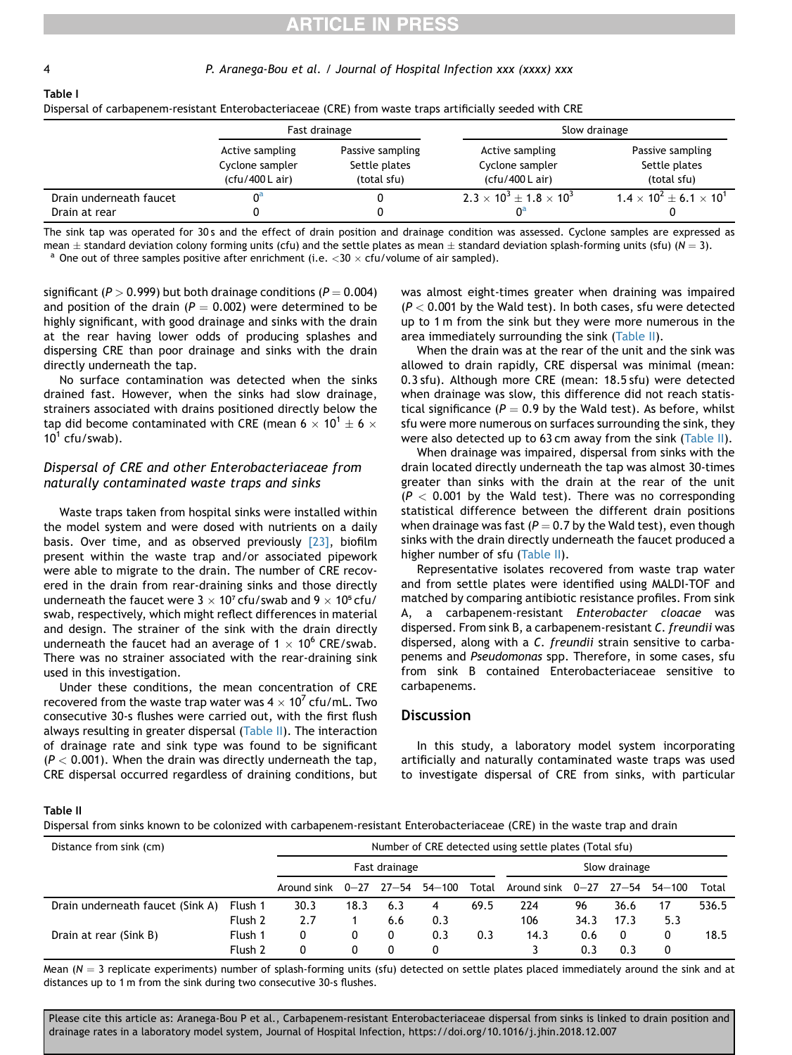<span id="page-3-0"></span>

Table I

# **RTICLE IN PRESS**

#### 4 P. Aranega-Bou et al. / Journal of Hospital Infection xxx (xxxx) xxx

|                                          |                                                       | Fast drainage                                    | Slow drainage                                         |                                                  |  |  |  |
|------------------------------------------|-------------------------------------------------------|--------------------------------------------------|-------------------------------------------------------|--------------------------------------------------|--|--|--|
|                                          | Active sampling<br>Cyclone sampler<br>(cfu/400 L air) | Passive sampling<br>Settle plates<br>(total sfu) | Active sampling<br>Cyclone sampler<br>(cfu/400 L air) | Passive sampling<br>Settle plates<br>(total sfu) |  |  |  |
| Drain underneath faucet<br>Drain at rear |                                                       |                                                  | $2.3 \times 10^3 + 1.8 \times 10^3$<br>0ª             | $1.4 \times 10^2 + 6.1 \times 10^1$              |  |  |  |

Dispersal of carbapenem-resistant Enterobacteriaceae (CRE) from waste traps artificially seeded with CRE

The sink tap was operated for 30 s and the effect of drain position and drainage condition was assessed. Cyclone samples are expressed as mean  $\pm$  standard deviation colony forming units (cfu) and the settle plates as mean  $\pm$  standard deviation splash-forming units (sfu) (N = 3).

<sup>a</sup> One out of three samples positive after enrichment (i.e.  $<$  30  $\times$  cfu/volume of air sampled).

significant ( $P > 0.999$ ) but both drainage conditions ( $P = 0.004$ ) and position of the drain ( $P = 0.002$ ) were determined to be highly significant, with good drainage and sinks with the drain at the rear having lower odds of producing splashes and dispersing CRE than poor drainage and sinks with the drain directly underneath the tap.

No surface contamination was detected when the sinks drained fast. However, when the sinks had slow drainage, strainers associated with drains positioned directly below the tap did become contaminated with CRE (mean 6  $\times$  10<sup>1</sup>  $\pm$  6  $\times$  $10^1$  cfu/swab).

# Dispersal of CRE and other Enterobacteriaceae from naturally contaminated waste traps and sinks

Waste traps taken from hospital sinks were installed within the model system and were dosed with nutrients on a daily basis. Over time, and as observed previously  $[23]$ , biofilm present within the waste trap and/or associated pipework were able to migrate to the drain. The number of CRE recovered in the drain from rear-draining sinks and those directly underneath the faucet were  $3 \times 10^7$  cfu/swab and  $9 \times 10^5$  cfu/ swab, respectively, which might reflect differences in material and design. The strainer of the sink with the drain directly underneath the faucet had an average of  $1 \times 10^6$  CRE/swab. There was no strainer associated with the rear-draining sink used in this investigation.

Under these conditions, the mean concentration of CRE recovered from the waste trap water was 4  $\times$  10<sup>7</sup> cfu/mL. Two consecutive 30-s flushes were carried out, with the first flush always resulting in greater dispersal (Table II). The interaction of drainage rate and sink type was found to be significant  $(P < 0.001)$ . When the drain was directly underneath the tap, CRE dispersal occurred regardless of draining conditions, but was almost eight-times greater when draining was impaired  $(P < 0.001$  by the Wald test). In both cases, sfu were detected up to 1 m from the sink but they were more numerous in the area immediately surrounding the sink (Table II).

When the drain was at the rear of the unit and the sink was allowed to drain rapidly, CRE dispersal was minimal (mean: 0.3 sfu). Although more CRE (mean: 18.5 sfu) were detected when drainage was slow, this difference did not reach statistical significance ( $P = 0.9$  by the Wald test). As before, whilst sfu were more numerous on surfaces surrounding the sink, they were also detected up to 63 cm away from the sink (Table II).

When drainage was impaired, dispersal from sinks with the drain located directly underneath the tap was almost 30-times greater than sinks with the drain at the rear of the unit  $(P < 0.001$  by the Wald test). There was no corresponding statistical difference between the different drain positions when drainage was fast ( $P = 0.7$  by the Wald test), even though sinks with the drain directly underneath the faucet produced a higher number of sfu (Table II).

Representative isolates recovered from waste trap water and from settle plates were identified using MALDI-TOF and matched by comparing antibiotic resistance profiles. From sink A, a carbapenem-resistant Enterobacter cloacae was dispersed. From sink B, a carbapenem-resistant C. freundii was dispersed, along with a C. freundii strain sensitive to carbapenems and Pseudomonas spp. Therefore, in some cases, sfu from sink B contained Enterobacteriaceae sensitive to carbapenems.

# **Discussion**

In this study, a laboratory model system incorporating artificially and naturally contaminated waste traps was used to investigate dispersal of CRE from sinks, with particular

Table II

Dispersal from sinks known to be colonized with carbapenem-resistant Enterobacteriaceae (CRE) in the waste trap and drain

| Distance from sink (cm)          |         | Number of CRE detected using settle plates (Total sfu) |      |     |        |       |                    |      |       |            |       |
|----------------------------------|---------|--------------------------------------------------------|------|-----|--------|-------|--------------------|------|-------|------------|-------|
|                                  |         | Fast drainage                                          |      |     |        |       | Slow drainage      |      |       |            |       |
|                                  |         | Around sink $0-27$ $27-54$                             |      |     | 54-100 | Total | Around sink $0-27$ |      | 27—54 | $54 - 100$ | Total |
| Drain underneath faucet (Sink A) | Flush 1 | 30.3                                                   | 18.3 | 6.3 | 4      | 69.5  | 224                | 96   | 36.6  | 17         | 536.5 |
|                                  | Flush 2 | 2.7                                                    |      | 6.6 | 0.3    |       | 106                | 34.3 | 17.3  | 5.3        |       |
| Drain at rear (Sink B)           | Flush 1 | 0                                                      | 0    | 0   | 0.3    | 0.3   | 14.3               | 0.6  | 0     | 0          | 18.5  |
|                                  | Flush 2 | 0                                                      | 0    | 0   | 0      |       |                    | 0.3  | 0.3   | 0          |       |

Mean  $(N = 3$  replicate experiments) number of splash-forming units (sfu) detected on settle plates placed immediately around the sink and at distances up to 1 m from the sink during two consecutive 30-s flushes.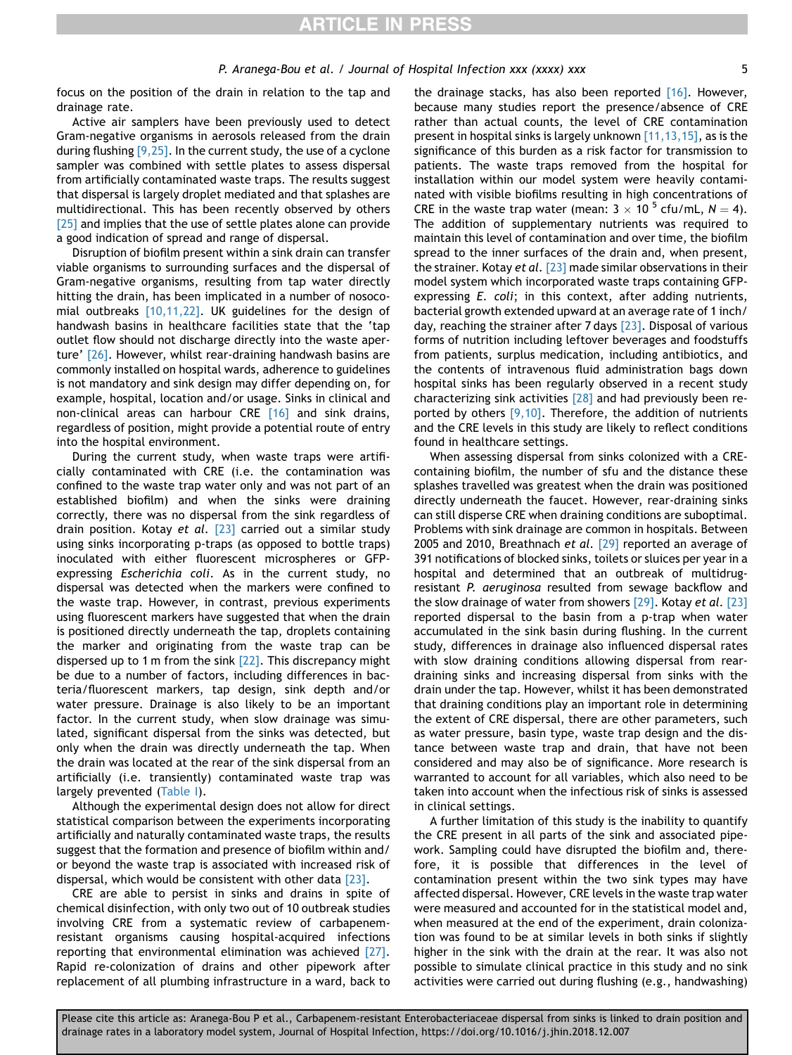P. Aranega-Bou et al. / Journal of Hospital Infection xxx (xxxx) xxx 5

focus on the position of the drain in relation to the tap and drainage rate.

Active air samplers have been previously used to detect Gram-negative organisms in aerosols released from the drain during flushing [\[9,25\].](#page-5-0) In the current study, the use of a cyclone sampler was combined with settle plates to assess dispersal from artificially contaminated waste traps. The results suggest that dispersal is largely droplet mediated and that splashes are multidirectional. This has been recently observed by others [\[25\]](#page-6-0) and implies that the use of settle plates alone can provide a good indication of spread and range of dispersal.

Disruption of biofilm present within a sink drain can transfer viable organisms to surrounding surfaces and the dispersal of Gram-negative organisms, resulting from tap water directly hitting the drain, has been implicated in a number of nosocomial outbreaks [\[10,11,22\].](#page-5-0) UK guidelines for the design of handwash basins in healthcare facilities state that the 'tap outlet flow should not discharge directly into the waste aperture' [\[26\]](#page-6-0). However, whilst rear-draining handwash basins are commonly installed on hospital wards, adherence to guidelines is not mandatory and sink design may differ depending on, for example, hospital, location and/or usage. Sinks in clinical and non-clinical areas can harbour CRE [\[16\]](#page-6-0) and sink drains, regardless of position, might provide a potential route of entry into the hospital environment.

During the current study, when waste traps were artificially contaminated with CRE (i.e. the contamination was confined to the waste trap water only and was not part of an established biofilm) and when the sinks were draining correctly, there was no dispersal from the sink regardless of drain position. Kotay et al.  $[23]$  carried out a similar study using sinks incorporating p-traps (as opposed to bottle traps) inoculated with either fluorescent microspheres or GFPexpressing Escherichia coli. As in the current study, no dispersal was detected when the markers were confined to the waste trap. However, in contrast, previous experiments using fluorescent markers have suggested that when the drain is positioned directly underneath the tap, droplets containing the marker and originating from the waste trap can be dispersed up to 1 m from the sink [\[22\]](#page-6-0). This discrepancy might be due to a number of factors, including differences in bacteria/fluorescent markers, tap design, sink depth and/or water pressure. Drainage is also likely to be an important factor. In the current study, when slow drainage was simulated, significant dispersal from the sinks was detected, but only when the drain was directly underneath the tap. When the drain was located at the rear of the sink dispersal from an artificially (i.e. transiently) contaminated waste trap was largely prevented [\(Table I](#page-3-0)).

Although the experimental design does not allow for direct statistical comparison between the experiments incorporating artificially and naturally contaminated waste traps, the results suggest that the formation and presence of biofilm within and/ or beyond the waste trap is associated with increased risk of dispersal, which would be consistent with other data [\[23\]](#page-6-0).

CRE are able to persist in sinks and drains in spite of chemical disinfection, with only two out of 10 outbreak studies involving CRE from a systematic review of carbapenemresistant organisms causing hospital-acquired infections reporting that environmental elimination was achieved [\[27\]](#page-6-0). Rapid re-colonization of drains and other pipework after replacement of all plumbing infrastructure in a ward, back to

the drainage stacks, has also been reported [\[16\]](#page-6-0). However, because many studies report the presence/absence of CRE rather than actual counts, the level of CRE contamination present in hospital sinks is largely unknown [\[11,13,15\]](#page-5-0), as is the significance of this burden as a risk factor for transmission to patients. The waste traps removed from the hospital for installation within our model system were heavily contaminated with visible biofilms resulting in high concentrations of CRE in the waste trap water (mean:  $3 \times 10^{-5}$  cfu/mL,  $N = 4$ ). The addition of supplementary nutrients was required to maintain this level of contamination and over time, the biofilm spread to the inner surfaces of the drain and, when present, the strainer. Kotay et al. [\[23\]](#page-6-0) made similar observations in their model system which incorporated waste traps containing GFPexpressing E. coli; in this context, after adding nutrients, bacterial growth extended upward at an average rate of 1 inch/ day, reaching the strainer after 7 days [\[23\].](#page-6-0) Disposal of various forms of nutrition including leftover beverages and foodstuffs from patients, surplus medication, including antibiotics, and the contents of intravenous fluid administration bags down hospital sinks has been regularly observed in a recent study characterizing sink activities [\[28\]](#page-6-0) and had previously been reported by others  $[9,10]$ . Therefore, the addition of nutrients and the CRE levels in this study are likely to reflect conditions found in healthcare settings.

When assessing dispersal from sinks colonized with a CREcontaining biofilm, the number of sfu and the distance these splashes travelled was greatest when the drain was positioned directly underneath the faucet. However, rear-draining sinks can still disperse CRE when draining conditions are suboptimal. Problems with sink drainage are common in hospitals. Between 2005 and 2010, Breathnach et al. [\[29\]](#page-6-0) reported an average of 391 notifications of blocked sinks, toilets or sluices per year in a hospital and determined that an outbreak of multidrugresistant P. aeruginosa resulted from sewage backflow and the slow drainage of water from showers [\[29\]](#page-6-0). Kotay et al. [\[23\]](#page-6-0) reported dispersal to the basin from a p-trap when water accumulated in the sink basin during flushing. In the current study, differences in drainage also influenced dispersal rates with slow draining conditions allowing dispersal from reardraining sinks and increasing dispersal from sinks with the drain under the tap. However, whilst it has been demonstrated that draining conditions play an important role in determining the extent of CRE dispersal, there are other parameters, such as water pressure, basin type, waste trap design and the distance between waste trap and drain, that have not been considered and may also be of significance. More research is warranted to account for all variables, which also need to be taken into account when the infectious risk of sinks is assessed in clinical settings.

A further limitation of this study is the inability to quantify the CRE present in all parts of the sink and associated pipework. Sampling could have disrupted the biofilm and, therefore, it is possible that differences in the level of contamination present within the two sink types may have affected dispersal. However, CRE levels in the waste trap water were measured and accounted for in the statistical model and, when measured at the end of the experiment, drain colonization was found to be at similar levels in both sinks if slightly higher in the sink with the drain at the rear. It was also not possible to simulate clinical practice in this study and no sink activities were carried out during flushing (e.g., handwashing)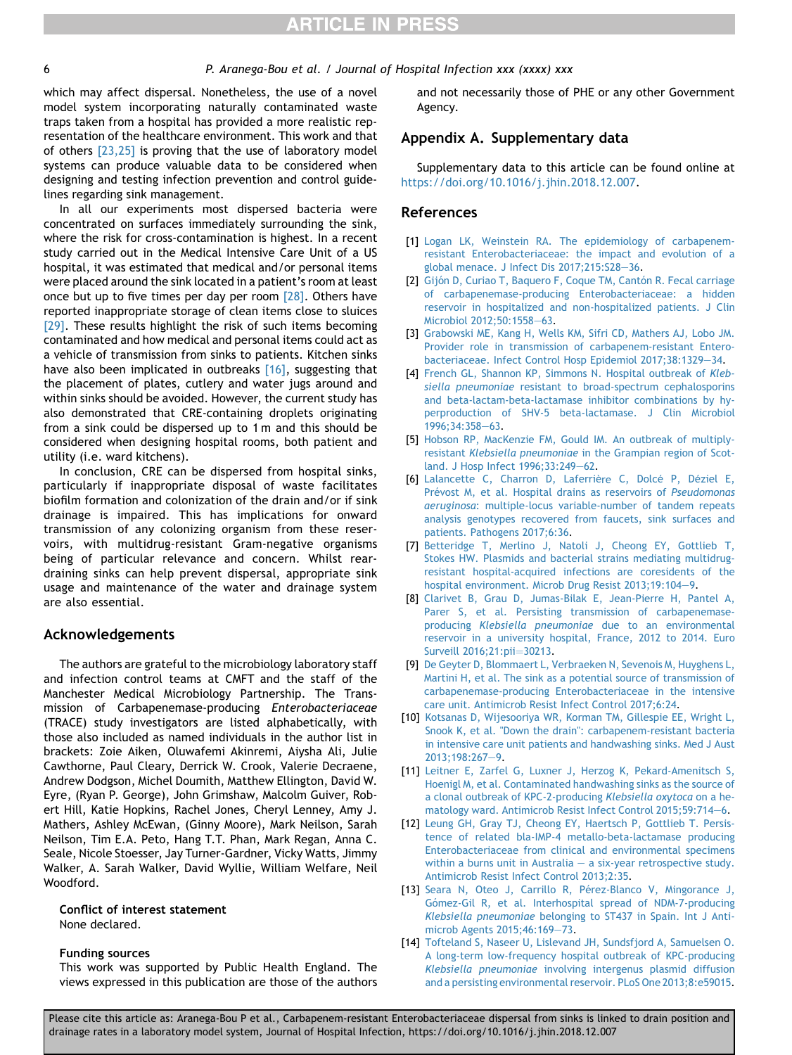#### <span id="page-5-0"></span>6 P. Aranega-Bou et al. / Journal of Hospital Infection xxx (xxxx) xxx

which may affect dispersal. Nonetheless, the use of a novel model system incorporating naturally contaminated waste traps taken from a hospital has provided a more realistic representation of the healthcare environment. This work and that of others [\[23,25\]](#page-6-0) is proving that the use of laboratory model systems can produce valuable data to be considered when designing and testing infection prevention and control guidelines regarding sink management.

In all our experiments most dispersed bacteria were concentrated on surfaces immediately surrounding the sink, where the risk for cross-contamination is highest. In a recent study carried out in the Medical Intensive Care Unit of a US hospital, it was estimated that medical and/or personal items were placed around the sink located in a patient's room at least once but up to five times per day per room  $[28]$ . Others have reported inappropriate storage of clean items close to sluices [\[29\].](#page-6-0) These results highlight the risk of such items becoming contaminated and how medical and personal items could act as a vehicle of transmission from sinks to patients. Kitchen sinks have also been implicated in outbreaks [\[16\]](#page-6-0), suggesting that the placement of plates, cutlery and water jugs around and within sinks should be avoided. However, the current study has also demonstrated that CRE-containing droplets originating from a sink could be dispersed up to 1 m and this should be considered when designing hospital rooms, both patient and utility (i.e. ward kitchens).

In conclusion, CRE can be dispersed from hospital sinks, particularly if inappropriate disposal of waste facilitates biofilm formation and colonization of the drain and/or if sink drainage is impaired. This has implications for onward transmission of any colonizing organism from these reservoirs, with multidrug-resistant Gram-negative organisms being of particular relevance and concern. Whilst reardraining sinks can help prevent dispersal, appropriate sink usage and maintenance of the water and drainage system are also essential.

# Acknowledgements

The authors are grateful to the microbiology laboratory staff and infection control teams at CMFT and the staff of the Manchester Medical Microbiology Partnership. The Transmission of Carbapenemase-producing Enterobacteriaceae (TRACE) study investigators are listed alphabetically, with those also included as named individuals in the author list in brackets: Zoie Aiken, Oluwafemi Akinremi, Aiysha Ali, Julie Cawthorne, Paul Cleary, Derrick W. Crook, Valerie Decraene, Andrew Dodgson, Michel Doumith, Matthew Ellington, David W. Eyre, (Ryan P. George), John Grimshaw, Malcolm Guiver, Robert Hill, Katie Hopkins, Rachel Jones, Cheryl Lenney, Amy J. Mathers, Ashley McEwan, (Ginny Moore), Mark Neilson, Sarah Neilson, Tim E.A. Peto, Hang T.T. Phan, Mark Regan, Anna C. Seale, Nicole Stoesser, Jay Turner-Gardner, Vicky Watts, Jimmy Walker, A. Sarah Walker, David Wyllie, William Welfare, Neil Woodford.

Conflict of interest statement None declared.

#### Funding sources

This work was supported by Public Health England. The views expressed in this publication are those of the authors and not necessarily those of PHE or any other Government Agency.

# Appendix A. Supplementary data

Supplementary data to this article can be found online at <https://doi.org/10.1016/j.jhin.2018.12.007>.

## References

- [1] [Logan LK, Weinstein RA. The epidemiology of carbapenem](http://refhub.elsevier.com/S0195-6701(18)30711-4/sref1)[resistant Enterobacteriaceae: the impact and evolution of a](http://refhub.elsevier.com/S0195-6701(18)30711-4/sref1) [global menace. J Infect Dis 2017;215:S28](http://refhub.elsevier.com/S0195-6701(18)30711-4/sref1)-[36](http://refhub.elsevier.com/S0195-6701(18)30711-4/sref1).
- [2] Gijón D, Curiao T, Baquero F, Coque TM, Cantón R. Fecal carriage [of carbapenemase-producing Enterobacteriaceae: a hidden](http://refhub.elsevier.com/S0195-6701(18)30711-4/sref2) [reservoir in hospitalized and non-hospitalized patients. J Clin](http://refhub.elsevier.com/S0195-6701(18)30711-4/sref2) Microbiol 2012:50:1558-[63.](http://refhub.elsevier.com/S0195-6701(18)30711-4/sref2)
- [3] [Grabowski ME, Kang H, Wells KM, Sifri CD, Mathers AJ, Lobo JM.](http://refhub.elsevier.com/S0195-6701(18)30711-4/sref3) [Provider role in transmission of carbapenem-resistant Entero](http://refhub.elsevier.com/S0195-6701(18)30711-4/sref3)[bacteriaceae. Infect Control Hosp Epidemiol 2017;38:1329](http://refhub.elsevier.com/S0195-6701(18)30711-4/sref3)-[34](http://refhub.elsevier.com/S0195-6701(18)30711-4/sref3).
- [4] [French GL, Shannon KP, Simmons N. Hospital outbreak of](http://refhub.elsevier.com/S0195-6701(18)30711-4/sref4) Klebsiella pneumoniae [resistant to broad-spectrum cephalosporins](http://refhub.elsevier.com/S0195-6701(18)30711-4/sref4) [and beta-lactam-beta-lactamase inhibitor combinations by hy](http://refhub.elsevier.com/S0195-6701(18)30711-4/sref4)[perproduction of SHV-5 beta-lactamase. J Clin Microbiol](http://refhub.elsevier.com/S0195-6701(18)30711-4/sref4) 1996:34:358-[63](http://refhub.elsevier.com/S0195-6701(18)30711-4/sref4).
- [5] [Hobson RP, MacKenzie FM, Gould IM. An outbreak of multiply](http://refhub.elsevier.com/S0195-6701(18)30711-4/sref5)resistant Klebsiella pneumoniae [in the Grampian region of Scot](http://refhub.elsevier.com/S0195-6701(18)30711-4/sref5)[land. J Hosp Infect 1996;33:249](http://refhub.elsevier.com/S0195-6701(18)30711-4/sref5)-[62](http://refhub.elsevier.com/S0195-6701(18)30711-4/sref5).
- [6] Lalancette C, Charron D, Laferrière C, Dolcé P, Déziel E, Prévost [M, et al. Hospital drains as reservoirs of](http://refhub.elsevier.com/S0195-6701(18)30711-4/sref6) Pseudomonas aeruginosa[: multiple-locus variable-number of tandem repeats](http://refhub.elsevier.com/S0195-6701(18)30711-4/sref6) [analysis genotypes recovered from faucets, sink surfaces and](http://refhub.elsevier.com/S0195-6701(18)30711-4/sref6) [patients. Pathogens 2017;6:36.](http://refhub.elsevier.com/S0195-6701(18)30711-4/sref6)
- [7] [Betteridge T, Merlino J, Natoli J, Cheong EY, Gottlieb T,](http://refhub.elsevier.com/S0195-6701(18)30711-4/sref7) [Stokes HW. Plasmids and bacterial strains mediating multidrug](http://refhub.elsevier.com/S0195-6701(18)30711-4/sref7)[resistant hospital-acquired infections are coresidents of the](http://refhub.elsevier.com/S0195-6701(18)30711-4/sref7) [hospital environment. Microb Drug Resist 2013;19:104](http://refhub.elsevier.com/S0195-6701(18)30711-4/sref7)-[9.](http://refhub.elsevier.com/S0195-6701(18)30711-4/sref7)
- [8] [Clarivet B, Grau D, Jumas-Bilak E, Jean-Pierre H, Pantel A,](http://refhub.elsevier.com/S0195-6701(18)30711-4/sref8) [Parer S, et al. Persisting transmission of carbapenemase](http://refhub.elsevier.com/S0195-6701(18)30711-4/sref8)producing Klebsiella pneumoniae [due to an environmental](http://refhub.elsevier.com/S0195-6701(18)30711-4/sref8) [reservoir in a university hospital, France, 2012 to 2014. Euro](http://refhub.elsevier.com/S0195-6701(18)30711-4/sref8) Surveill 2016:21:pij=[30213.](http://refhub.elsevier.com/S0195-6701(18)30711-4/sref8)
- [9] [De Geyter D, Blommaert L, Verbraeken N, Sevenois M, Huyghens L,](http://refhub.elsevier.com/S0195-6701(18)30711-4/sref9) [Martini H, et al. The sink as a potential source of transmission of](http://refhub.elsevier.com/S0195-6701(18)30711-4/sref9) [carbapenemase-producing Enterobacteriaceae in the intensive](http://refhub.elsevier.com/S0195-6701(18)30711-4/sref9) [care unit. Antimicrob Resist Infect Control 2017;6:24.](http://refhub.elsevier.com/S0195-6701(18)30711-4/sref9)
- [10] [Kotsanas D, Wijesooriya WR, Korman TM, Gillespie EE, Wright L,](http://refhub.elsevier.com/S0195-6701(18)30711-4/sref10) [Snook K, et al. "Down the drain": carbapenem-resistant bacteria](http://refhub.elsevier.com/S0195-6701(18)30711-4/sref10) [in intensive care unit patients and handwashing sinks. Med J Aust](http://refhub.elsevier.com/S0195-6701(18)30711-4/sref10)  $2013:198:267-9.$  $2013:198:267-9.$  $2013:198:267-9.$
- [11] [Leitner E, Zarfel G, Luxner J, Herzog K, Pekard-Amenitsch S,](http://refhub.elsevier.com/S0195-6701(18)30711-4/sref11) [Hoenigl M, et al. Contaminated handwashing sinks as the source of](http://refhub.elsevier.com/S0195-6701(18)30711-4/sref11) [a clonal outbreak of KPC-2-producing](http://refhub.elsevier.com/S0195-6701(18)30711-4/sref11) Klebsiella oxytoca on a he[matology ward. Antimicrob Resist Infect Control 2015;59:714](http://refhub.elsevier.com/S0195-6701(18)30711-4/sref11)-[6.](http://refhub.elsevier.com/S0195-6701(18)30711-4/sref11)
- [12] [Leung GH, Gray TJ, Cheong EY, Haertsch P, Gottlieb T. Persis](http://refhub.elsevier.com/S0195-6701(18)30711-4/sref12)[tence of related bla-IMP-4 metallo-beta-lactamase producing](http://refhub.elsevier.com/S0195-6701(18)30711-4/sref12) [Enterobacteriaceae from clinical and environmental specimens](http://refhub.elsevier.com/S0195-6701(18)30711-4/sref12) [within a burns unit in Australia](http://refhub.elsevier.com/S0195-6701(18)30711-4/sref12)  $-$  [a six-year retrospective study.](http://refhub.elsevier.com/S0195-6701(18)30711-4/sref12) [Antimicrob Resist Infect Control 2013;2:35.](http://refhub.elsevier.com/S0195-6701(18)30711-4/sref12)
- [13] Seara N, Oteo J, Carrillo R, Pérez-Blanco V, Mingorance J, Gómez-Gil R, et al. Interhospital spread of NDM-7-producing Klebsiella pneumoniae [belonging to ST437 in Spain. Int J Anti](http://refhub.elsevier.com/S0195-6701(18)30711-4/sref13)[microb Agents 2015;46:169](http://refhub.elsevier.com/S0195-6701(18)30711-4/sref13)-[73.](http://refhub.elsevier.com/S0195-6701(18)30711-4/sref13)
- [14] [Tofteland S, Naseer U, Lislevand JH, Sundsfjord A, Samuelsen O.](http://refhub.elsevier.com/S0195-6701(18)30711-4/sref14) [A long-term low-frequency hospital outbreak of KPC-producing](http://refhub.elsevier.com/S0195-6701(18)30711-4/sref14) Klebsiella pneumoniae [involving intergenus plasmid diffusion](http://refhub.elsevier.com/S0195-6701(18)30711-4/sref14) [and a persisting environmental reservoir. PLoS One 2013;8:e59015.](http://refhub.elsevier.com/S0195-6701(18)30711-4/sref14)